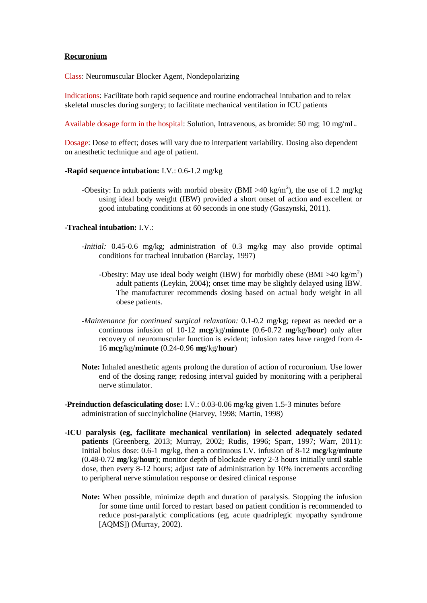## **Rocuronium**

Class: Neuromuscular Blocker Agent, Nondepolarizing

Indications: Facilitate both rapid sequence and routine endotracheal intubation and to relax skeletal muscles during surgery; to facilitate mechanical ventilation in ICU patients

Available dosage form in the hospital: Solution, Intravenous, as bromide: 50 mg; 10 mg/mL.

Dosage: Dose to effect; doses will vary due to interpatient variability. Dosing also dependent on anesthetic technique and age of patient.

#### **-Rapid sequence intubation:** I.V.: 0.6-1.2 mg/kg

-Obesity: In adult patients with morbid obesity (BMI  $>40 \text{ kg/m}^2$ ), the use of 1.2 mg/kg using ideal body weight (IBW) provided a short onset of action and excellent or good intubating conditions at 60 seconds in one study (Gaszynski, 2011).

## **-Tracheal intubation:** I.V.:

- *-Initial:* 0.45-0.6 mg/kg; administration of 0.3 mg/kg may also provide optimal conditions for tracheal intubation (Barclay, 1997)
	- -Obesity: May use ideal body weight (IBW) for morbidly obese (BMI >40 kg/m<sup>2</sup>) adult patients (Leykin, 2004); onset time may be slightly delayed using IBW. The manufacturer recommends dosing based on actual body weight in all obese patients.
- *-Maintenance for continued surgical relaxation:* 0.1-0.2 mg/kg; repeat as needed **or** a continuous infusion of 10-12 **mcg**/kg/**minute** (0.6-0.72 **mg**/kg/**hour**) only after recovery of neuromuscular function is evident; infusion rates have ranged from 4- 16 **mcg**/kg/**minute** (0.24-0.96 **mg**/kg/**hour**)
- **Note:** Inhaled anesthetic agents prolong the duration of action of rocuronium. Use lower end of the dosing range; redosing interval guided by monitoring with a peripheral nerve stimulator.
- **-Preinduction defasciculating dose:** I.V.: 0.03-0.06 mg/kg given 1.5-3 minutes before administration of succinylcholine (Harvey, 1998; Martin, 1998)
- **-ICU paralysis (eg, facilitate mechanical ventilation) in selected adequately sedated patients** (Greenberg, 2013; Murray, 2002; Rudis, 1996; Sparr, 1997; Warr, 2011): Initial bolus dose: 0.6-1 mg/kg, then a continuous I.V. infusion of 8-12 **mcg**/kg/**minute** (0.48-0.72 **mg**/kg/**hour**); monitor depth of blockade every 2-3 hours initially until stable dose, then every 8-12 hours; adjust rate of administration by 10% increments according to peripheral nerve stimulation response or desired clinical response
	- **Note:** When possible, minimize depth and duration of paralysis. Stopping the infusion for some time until forced to restart based on patient condition is recommended to reduce post-paralytic complications (eg, acute quadriplegic myopathy syndrome [AQMS]) (Murray, 2002).